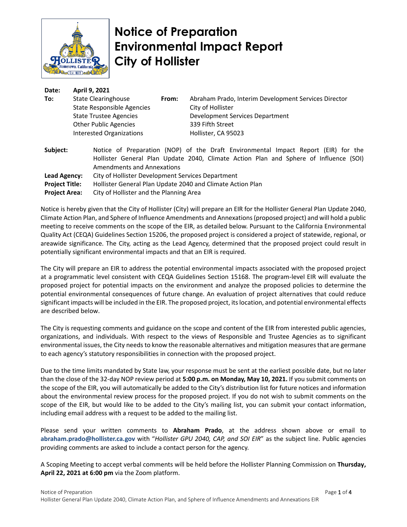

# **Notice of Preparation Environmental Impact Report City of Hollister**

| Date:        | April 9, 2021                                     |       |                                                                                                                                                                             |
|--------------|---------------------------------------------------|-------|-----------------------------------------------------------------------------------------------------------------------------------------------------------------------------|
| To:          | State Clearinghouse                               | From: | Abraham Prado, Interim Development Services Director                                                                                                                        |
|              | State Responsible Agencies                        |       | City of Hollister                                                                                                                                                           |
|              | <b>State Trustee Agencies</b>                     |       | Development Services Department                                                                                                                                             |
|              | <b>Other Public Agencies</b>                      |       | 339 Fifth Street                                                                                                                                                            |
|              | <b>Interested Organizations</b>                   |       | Hollister, CA 95023                                                                                                                                                         |
| Subject:     | <b>Amendments and Annexations</b>                 |       | Notice of Preparation (NOP) of the Draft Environmental Impact Report (EIR) for the<br>Hollister General Plan Update 2040, Climate Action Plan and Sphere of Influence (SOI) |
| Lead Agency: | City of Hollister Development Services Department |       |                                                                                                                                                                             |

**Project Title:** Hollister General Plan Update 2040 and Climate Action Plan

**Project Area:** City of Hollister and the Planning Area

Notice is hereby given that the City of Hollister (City) will prepare an EIR for the Hollister General Plan Update 2040, Climate Action Plan, and Sphere of Influence Amendments and Annexations(proposed project) and will hold a public meeting to receive comments on the scope of the EIR, as detailed below. Pursuant to the California Environmental Quality Act (CEQA) Guidelines Section 15206, the proposed project is considered a project of statewide, regional, or areawide significance. The City, acting as the Lead Agency, determined that the proposed project could result in potentially significant environmental impacts and that an EIR is required.

The City will prepare an EIR to address the potential environmental impacts associated with the proposed project at a programmatic level consistent with CEQA Guidelines Section 15168. The program-level EIR will evaluate the proposed project for potential impacts on the environment and analyze the proposed policies to determine the potential environmental consequences of future change. An evaluation of project alternatives that could reduce significant impacts will be included in the EIR. The proposed project, its location, and potential environmental effects are described below.

The City is requesting comments and guidance on the scope and content of the EIR from interested public agencies, organizations, and individuals. With respect to the views of Responsible and Trustee Agencies as to significant environmental issues, the City needs to know the reasonable alternatives and mitigation measures that are germane to each agency's statutory responsibilities in connection with the proposed project.

Due to the time limits mandated by State law, your response must be sent at the earliest possible date, but no later than the close of the 32-day NOP review period at **5:00 p.m. on Monday, May 10, 2021.** If you submit comments on the scope of the EIR, you will automatically be added to the City's distribution list for future notices and information about the environmental review process for the proposed project. If you do not wish to submit comments on the scope of the EIR, but would like to be added to the City's mailing list, you can submit your contact information, including email address with a request to be added to the mailing list.

Please send your written comments to **Abraham Prado**, at the address shown above or email to **abraham.prado@hollister.ca.gov** with "*Hollister GPU 2040, CAP, and SOI EIR*" as the subject line. Public agencies providing comments are asked to include a contact person for the agency.

A Scoping Meeting to accept verbal comments will be held before the Hollister Planning Commission on **Thursday, April 22, 2021 at 6:00 pm** via the Zoom platform.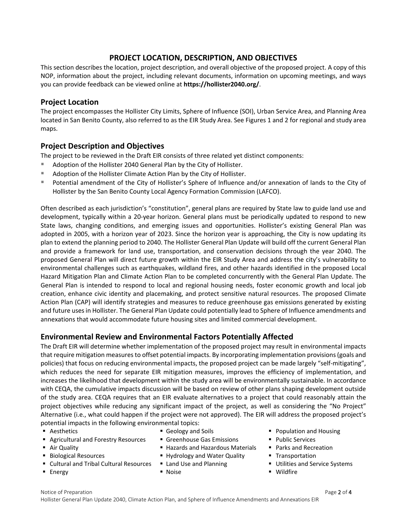#### **PROJECT LOCATION, DESCRIPTION, AND OBJECTIVES**

This section describes the location, project description, and overall objective of the proposed project. A copy of this NOP, information about the project, including relevant documents, information on upcoming meetings, and ways you can provide feedback can be viewed online at **https://hollister2040.org/**.

#### **Project Location**

The project encompasses the Hollister City Limits, Sphere of Influence (SOI), Urban Service Area, and Planning Area located in San Benito County, also referred to as the EIR Study Area. See Figures 1 and 2 for regional and study area maps.

### **Project Description and Objectives**

The project to be reviewed in the Draft EIR consists of three related yet distinct components:

- Adoption of the Hollister 2040 General Plan by the City of Hollister.
- Adoption of the Hollister Climate Action Plan by the City of Hollister.
- Potential amendment of the City of Hollister's Sphere of Influence and/or annexation of lands to the City of Hollister by the San Benito County Local Agency Formation Commission (LAFCO).

Often described as each jurisdiction's "constitution", general plans are required by State law to guide land use and development, typically within a 20-year horizon. General plans must be periodically updated to respond to new State laws, changing conditions, and emerging issues and opportunities. Hollister's existing General Plan was adopted in 2005, with a horizon year of 2023. Since the horizon year is approaching, the City is now updating its plan to extend the planning period to 2040. The Hollister General Plan Update will build off the current General Plan and provide a framework for land use, transportation, and conservation decisions through the year 2040. The proposed General Plan will direct future growth within the EIR Study Area and address the city's vulnerability to environmental challenges such as earthquakes, wildland fires, and other hazards identified in the proposed Local Hazard Mitigation Plan and Climate Action Plan to be completed concurrently with the General Plan Update. The General Plan is intended to respond to local and regional housing needs, foster economic growth and local job creation, enhance civic identity and placemaking, and protect sensitive natural resources. The proposed Climate Action Plan (CAP) will identify strategies and measures to reduce greenhouse gas emissions generated by existing and future uses in Hollister. The General Plan Update could potentially lead to Sphere of Influence amendments and annexations that would accommodate future housing sites and limited commercial development.

## **Environmental Review and Environmental Factors Potentially Affected**

The Draft EIR will determine whether implementation of the proposed project may result in environmental impacts that require mitigation measures to offset potential impacts. By incorporating implementation provisions (goals and policies) that focus on reducing environmental impacts, the proposed project can be made largely "self-mitigating", which reduces the need for separate EIR mitigation measures, improves the efficiency of implementation, and increases the likelihood that development within the study area will be environmentally sustainable. In accordance with CEQA, the cumulative impacts discussion will be based on review of other plans shaping development outside of the study area. CEQA requires that an EIR evaluate alternatives to a project that could reasonably attain the project objectives while reducing any significant impact of the project, as well as considering the "No Project" Alternative (i.e., what could happen if the project were not approved). The EIR will address the proposed project's potential impacts in the following environmental topics:

- 
- **Agricultural and Forestry Resources Greenhouse Gas Emissions Public Services**
- 
- 
- Cultural and Tribal Cultural Resources Land Use and Planning Utilities and Service Systems
- 
- 
- 
- Air Quality **No. 2012 Is a Recreation** Hazards and Hazardous Materials Parks and Recreation
- Biological Resources **The Example 2** Hydrology and Water Quality **Transportation** 
	-
	-
- Aesthetics Beaulty and Soils Population and Housing
	-
	-
	-
	-
- Energy Noise Noise Noise Noise Noise Wildfire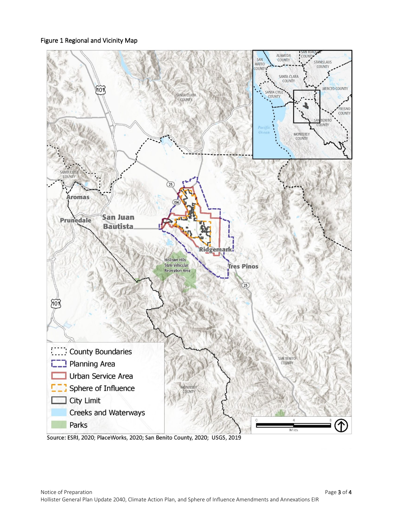Figure 1 Regional and Vicinity Map



Source: ESRI, 2020; PlaceWorks, 2020; San Benito County, 2020; USGS, 2019